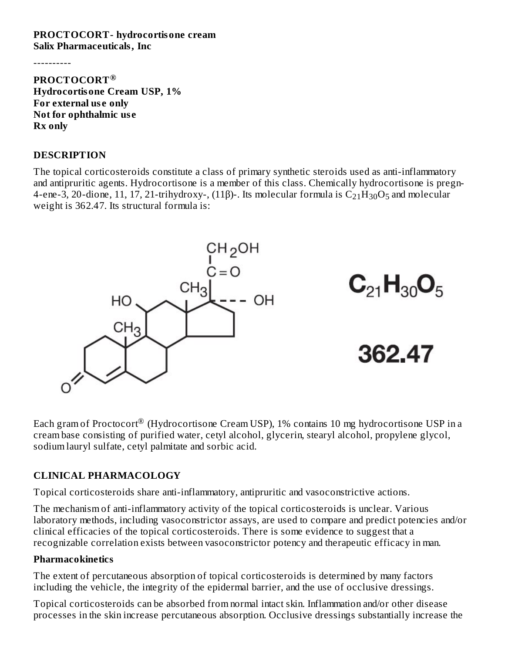#### **PROCTOCORT- hydrocortisone cream Salix Pharmaceuticals, Inc**

----------

**PROCTOCORT ® Hydrocortisone Cream USP, 1% For external us e only Not for ophthalmic us e Rx only**

#### **DESCRIPTION**

The topical corticosteroids constitute a class of primary synthetic steroids used as anti-inflammatory and antipruritic agents. Hydrocortisone is a member of this class. Chemically hydrocortisone is pregn-4-ene-3, 20-dione, 11, 17, 21-trihydroxy-, (11β)-. Its molecular formula is  $\rm{C}_{21}H_{30}O_5$  and molecular weight is 362.47. Its structural formula is:



Each gram of Proctocort $^\circledR$  (Hydrocortisone Cream USP), 1% contains 10 mg hydrocortisone USP in a cream base consisting of purified water, cetyl alcohol, glycerin, stearyl alcohol, propylene glycol, sodium lauryl sulfate, cetyl palmitate and sorbic acid.

### **CLINICAL PHARMACOLOGY**

Topical corticosteroids share anti-inflammatory, antipruritic and vasoconstrictive actions.

The mechanism of anti-inflammatory activity of the topical corticosteroids is unclear. Various laboratory methods, including vasoconstrictor assays, are used to compare and predict potencies and/or clinical efficacies of the topical corticosteroids. There is some evidence to suggest that a recognizable correlation exists between vasoconstrictor potency and therapeutic efficacy in man.

### **Pharmacokinetics**

The extent of percutaneous absorption of topical corticosteroids is determined by many factors including the vehicle, the integrity of the epidermal barrier, and the use of occlusive dressings.

Topical corticosteroids can be absorbed from normal intact skin. Inflammation and/or other disease processes in the skin increase percutaneous absorption. Occlusive dressings substantially increase the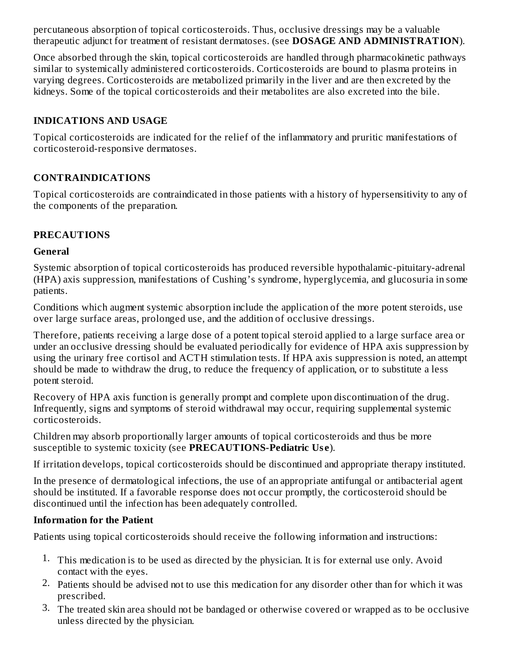percutaneous absorption of topical corticosteroids. Thus, occlusive dressings may be a valuable therapeutic adjunct for treatment of resistant dermatoses. (see **DOSAGE AND ADMINISTRATION**).

Once absorbed through the skin, topical corticosteroids are handled through pharmacokinetic pathways similar to systemically administered corticosteroids. Corticosteroids are bound to plasma proteins in varying degrees. Corticosteroids are metabolized primarily in the liver and are then excreted by the kidneys. Some of the topical corticosteroids and their metabolites are also excreted into the bile.

# **INDICATIONS AND USAGE**

Topical corticosteroids are indicated for the relief of the inflammatory and pruritic manifestations of corticosteroid-responsive dermatoses.

# **CONTRAINDICATIONS**

Topical corticosteroids are contraindicated in those patients with a history of hypersensitivity to any of the components of the preparation.

# **PRECAUTIONS**

#### **General**

Systemic absorption of topical corticosteroids has produced reversible hypothalamic-pituitary-adrenal (HPA) axis suppression, manifestations of Cushing's syndrome, hyperglycemia, and glucosuria in some patients.

Conditions which augment systemic absorption include the application of the more potent steroids, use over large surface areas, prolonged use, and the addition of occlusive dressings.

Therefore, patients receiving a large dose of a potent topical steroid applied to a large surface area or under an occlusive dressing should be evaluated periodically for evidence of HPA axis suppression by using the urinary free cortisol and ACTH stimulation tests. If HPA axis suppression is noted, an attempt should be made to withdraw the drug, to reduce the frequency of application, or to substitute a less potent steroid.

Recovery of HPA axis function is generally prompt and complete upon discontinuation of the drug. Infrequently, signs and symptoms of steroid withdrawal may occur, requiring supplemental systemic corticosteroids.

Children may absorb proportionally larger amounts of topical corticosteroids and thus be more susceptible to systemic toxicity (see **PRECAUTIONS-Pediatric Us e**).

If irritation develops, topical corticosteroids should be discontinued and appropriate therapy instituted.

In the presence of dermatological infections, the use of an appropriate antifungal or antibacterial agent should be instituted. If a favorable response does not occur promptly, the corticosteroid should be discontinued until the infection has been adequately controlled.

### **Information for the Patient**

Patients using topical corticosteroids should receive the following information and instructions:

- 1. This medication is to be used as directed by the physician. It is for external use only. Avoid contact with the eyes.
- 2. Patients should be advised not to use this medication for any disorder other than for which it was prescribed.
- 3. The treated skin area should not be bandaged or otherwise covered or wrapped as to be occlusive unless directed by the physician.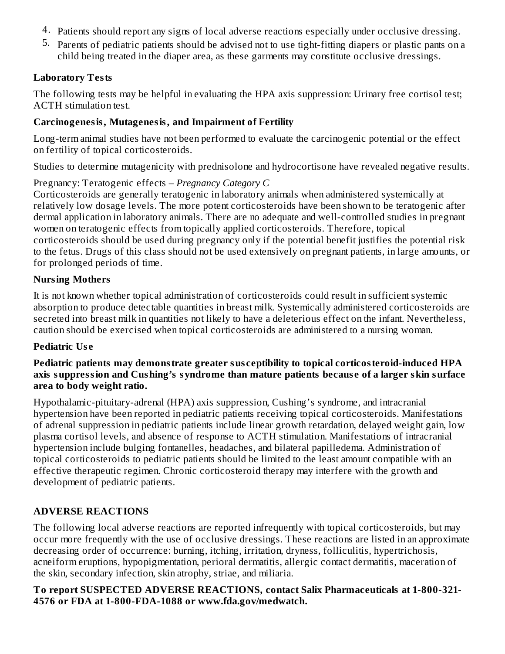- 4. Patients should report any signs of local adverse reactions especially under occlusive dressing.
- 5. Parents of pediatric patients should be advised not to use tight-fitting diapers or plastic pants on a child being treated in the diaper area, as these garments may constitute occlusive dressings.

# **Laboratory Tests**

The following tests may be helpful in evaluating the HPA axis suppression: Urinary free cortisol test; ACTH stimulation test.

# **Carcinogenesis, Mutagenesis, and Impairment of Fertility**

Long-term animal studies have not been performed to evaluate the carcinogenic potential or the effect on fertility of topical corticosteroids.

Studies to determine mutagenicity with prednisolone and hydrocortisone have revealed negative results.

# Pregnancy: Teratogenic effects – *Pregnancy Category C*

Corticosteroids are generally teratogenic in laboratory animals when administered systemically at relatively low dosage levels. The more potent corticosteroids have been shown to be teratogenic after dermal application in laboratory animals. There are no adequate and well-controlled studies in pregnant women on teratogenic effects from topically applied corticosteroids. Therefore, topical corticosteroids should be used during pregnancy only if the potential benefit justifies the potential risk to the fetus. Drugs of this class should not be used extensively on pregnant patients, in large amounts, or for prolonged periods of time.

# **Nursing Mothers**

It is not known whether topical administration of corticosteroids could result in sufficient systemic absorption to produce detectable quantities in breast milk. Systemically administered corticosteroids are secreted into breast milk in quantities not likely to have a deleterious effect on the infant. Nevertheless, caution should be exercised when topical corticosteroids are administered to a nursing woman.

# **Pediatric Us e**

### **Pediatric patients may demonstrate greater sus ceptibility to topical corticosteroid-induced HPA axis suppression and Cushing's syndrome than mature patients becaus e of a larger skin surface area to body weight ratio.**

Hypothalamic-pituitary-adrenal (HPA) axis suppression, Cushing's syndrome, and intracranial hypertension have been reported in pediatric patients receiving topical corticosteroids. Manifestations of adrenal suppression in pediatric patients include linear growth retardation, delayed weight gain, low plasma cortisol levels, and absence of response to ACTH stimulation. Manifestations of intracranial hypertension include bulging fontanelles, headaches, and bilateral papilledema. Administration of topical corticosteroids to pediatric patients should be limited to the least amount compatible with an effective therapeutic regimen. Chronic corticosteroid therapy may interfere with the growth and development of pediatric patients.

# **ADVERSE REACTIONS**

The following local adverse reactions are reported infrequently with topical corticosteroids, but may occur more frequently with the use of occlusive dressings. These reactions are listed in an approximate decreasing order of occurrence: burning, itching, irritation, dryness, folliculitis, hypertrichosis, acneiform eruptions, hypopigmentation, perioral dermatitis, allergic contact dermatitis, maceration of the skin, secondary infection, skin atrophy, striae, and miliaria.

### **To report SUSPECTED ADVERSE REACTIONS, contact Salix Pharmaceuticals at 1-800-321- 4576 or FDA at 1-800-FDA-1088 or www.fda.gov/medwatch.**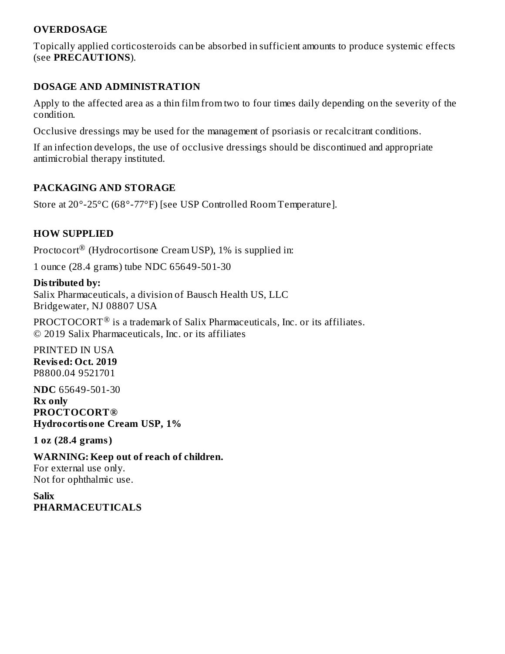### **OVERDOSAGE**

Topically applied corticosteroids can be absorbed in sufficient amounts to produce systemic effects (see **PRECAUTIONS**).

#### **DOSAGE AND ADMINISTRATION**

Apply to the affected area as a thin film from two to four times daily depending on the severity of the condition.

Occlusive dressings may be used for the management of psoriasis or recalcitrant conditions.

If an infection develops, the use of occlusive dressings should be discontinued and appropriate antimicrobial therapy instituted.

# **PACKAGING AND STORAGE**

Store at 20°-25°C (68°-77°F) [see USP Controlled Room Temperature].

# **HOW SUPPLIED**

Proctocort $^\circledR$  (Hydrocortisone Cream USP), 1% is supplied in:

1 ounce (28.4 grams) tube NDC 65649-501-30

#### **Distributed by:**

Salix Pharmaceuticals, a division of Bausch Health US, LLC Bridgewater, NJ 08807 USA

PROCTOCORT $^{\circledR}$  is a trademark of Salix Pharmaceuticals, Inc. or its affiliates. © 2019 Salix Pharmaceuticals, Inc. or its affiliates

PRINTED IN USA **Revis ed: Oct. 2019** P8800.04 9521701

**NDC** 65649-501-30 **Rx only PROCTOCORT® Hydrocortisone Cream USP, 1%**

**1 oz (28.4 grams)**

**WARNING: Keep out of reach of children.** For external use only. Not for ophthalmic use.

**Salix PHARMACEUTICALS**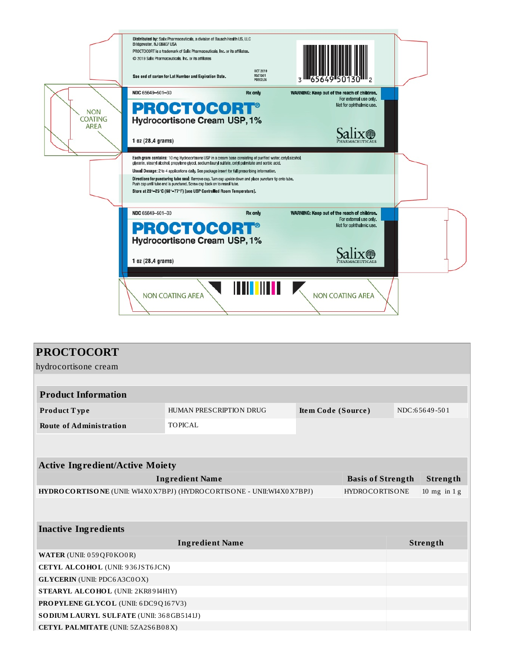

| <b>PROCTOCORT</b>                                                                                |                         |                    |  |               |                |  |  |  |
|--------------------------------------------------------------------------------------------------|-------------------------|--------------------|--|---------------|----------------|--|--|--|
| hydrocortisone cream                                                                             |                         |                    |  |               |                |  |  |  |
|                                                                                                  |                         |                    |  |               |                |  |  |  |
| <b>Product Information</b>                                                                       |                         |                    |  |               |                |  |  |  |
| Product Type                                                                                     | HUMAN PRESCRIPTION DRUG | Item Code (Source) |  | NDC:65649-501 |                |  |  |  |
| <b>Route of Administration</b>                                                                   | <b>TOPICAL</b>          |                    |  |               |                |  |  |  |
|                                                                                                  |                         |                    |  |               |                |  |  |  |
|                                                                                                  |                         |                    |  |               |                |  |  |  |
| <b>Active Ingredient/Active Moiety</b>                                                           |                         |                    |  |               |                |  |  |  |
| <b>Ingredient Name</b><br><b>Basis of Strength</b>                                               |                         |                    |  | Strength      |                |  |  |  |
| HYDRO CORTISONE (UNII: WI4X0 X7BPJ) (HYDROCORTISONE - UNII:WI4X0 X7BPJ)<br><b>HYDROCORTISONE</b> |                         |                    |  |               | 10 mg in $1 g$ |  |  |  |
|                                                                                                  |                         |                    |  |               |                |  |  |  |
|                                                                                                  |                         |                    |  |               |                |  |  |  |
| <b>Inactive Ingredients</b>                                                                      |                         |                    |  |               |                |  |  |  |
| <b>Ingredient Name</b>                                                                           |                         |                    |  | Strength      |                |  |  |  |
| WATER (UNII: 059QF0KO0R)                                                                         |                         |                    |  |               |                |  |  |  |
| CETYL ALCOHOL (UNII: 936JST6JCN)                                                                 |                         |                    |  |               |                |  |  |  |
| <b>GLYCERIN</b> (UNII: PDC6A3C0OX)                                                               |                         |                    |  |               |                |  |  |  |
| STEARYL ALCOHOL (UNII: 2KR89I4H1Y)                                                               |                         |                    |  |               |                |  |  |  |
| PROPYLENE GLYCOL (UNII: 6DC9Q167V3)                                                              |                         |                    |  |               |                |  |  |  |
| SODIUM LAURYL SULFATE (UNII: 368GB5141J)                                                         |                         |                    |  |               |                |  |  |  |
| CETYL PALMITATE (UNII: 5ZA2S6B08X)                                                               |                         |                    |  |               |                |  |  |  |